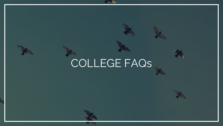## COLLEGE FAQs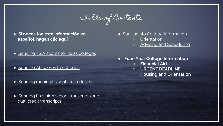

- **[Si necesitan esta información en](#page-11-0)  español, hagan clic aquí.**
- [Sending TSIA scores to Texas colleges](#page-2-0)
- [Sending AP scores to colleges](#page-3-0)
- [Sending meningitis shots to colleges](#page-5-0)
- Sending final high school transcripts and dual credit transcripts
- San Jacinto College Information
	- [Orientation](#page-6-0)
	- [Advising and Scheduling](#page-7-0)
- **Four-Year College Information**
	- **[Financial Aid](#page-8-0)**
	- **[URGENT DEADLINE](#page-9-0)**
	- **[Housing and Orientation](#page-10-0)**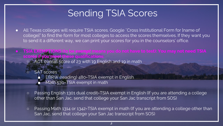### Sending TSIA Scores

- <span id="page-2-0"></span>● All Texas colleges will require TSIA scores. Google "Cross Institutional Form for [name of college]" to find the form for most colleges to access the scores themselves. If they want you to send it a different way, we can print your scores for you in the counselors' office.
- TSIA EXEMPTIONS (to be *exempt* means you do not have to test): You may not need TSIA scores if you meet these qualifications:
	- ACT overall score of 23 with 19 English and 19 in math

#### ○ SAT scores

- **EBRW** (reading) 480=TSIA exempt in English
- Math 530=TSIA exempt in math
- Passing English 1301 dual credit=TSIA exempt in English (If you are attending a college other than San Jac, send that college your San Jac transcript from SOS)
- Passing Math 1314 or 1342=TSIA exempt in math (If you are attending a college other than San Jac, send that college your San Jac transcript from SOS)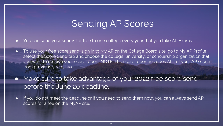### Sending AP Scores

- <span id="page-3-0"></span>You can send your scores for free to one college every year that you take AP Exams.
- To use your free score send, [sign in to My AP on the College Board site,](https://myap.collegeboard.org/login) go to My AP Profile, select the Score Send tab and choose the college, university, or scholarship organization that you want to receive your score report. NOTE: The score report includes ALL of your AP scores from previous years, too.
- Make sure to take advantage of your 2022 free score send before the June 20 deadline.
- If you do not meet the deadline or if you need to send them now, you can always send AP scores for a fee on the MyAP site.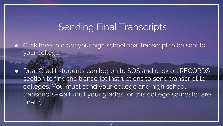### Sending Final Transcripts

<span id="page-4-0"></span>Click [here t](https://docs.google.com/forms/d/e/1FAIpQLScNUkwXi4zfZ1CWUYIL4fspCKfz1qA8qXm9qs9lBgKX5oePkw/viewform)o order your high school final transcript to be sent to your college.

● Dual Credit students can log on to SOS and click on RECORDS section to find the transcript instructions to send transcript to colleges. You must send your college and high school transcripts–wait until your grades for this college semester are final. :)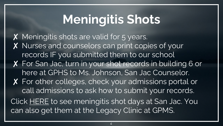## Meningitis Shots

<span id="page-5-0"></span>X Meningitis shots are valid for 5 years. X Nurses and counselors can print copies of your records IF you submitted them to our school ✘ For San Jac, turn in your shot records in building 6 or here at GPHS to Ms. Johnson, San Jac Counselor. ✘ For other colleges, check your admissions portal or call admissions to ask how to submit your records. Click [HERE](https://www.sanjac.edu/meningitis#shot) to see meningitis shot days at San Jac. You can also get them at the Legacy Clinic at GPMS.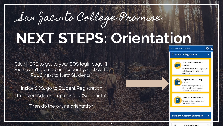# <span id="page-6-0"></span>San Jacinto College Promise **NEXT STEPS: Orientation**

7

Click [HERE](https://www.sanjac.edu/soslogin) to get to your SOS login page. (If you haven't created an account yet, click the PLUS next to New Students.)

Inside SOS, go to Student Registration Register, Add or drop classes. (See photo)

Then do the online orientation.



#### **Students - Registration**



#### Live Chat - Educational Planner

Chat with an educational planner to help you with registration questions.



#### Register, Add, or Drop Classes

Search and register for your classess. Also view, manage schedule and orientation.



#### **Student Account Summary**

A sos sanjac edu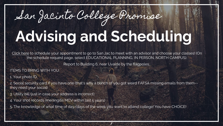# <span id="page-7-0"></span>San Jacinto College Promise **Advising and Scheduling**

[Click here](https://www.whos-next.com/sanjac/appointments/) to schedule your appointment to go to San Jac to meet with an advisor and choose your classes! (On the schedule request page, select EDUCATIONAL PLANNING, IN PERSON, NORTH CAMPUS).

Report to Building 6, near Uvalde by the flagpoles..

ITEMS TO BRING WITH YOU:

1. Your photo ID

2. Social security card if you have one (that's why a bunch of you got weird FAFSA missing emails from them- they need your social)

- 3. Utility bill (just in case your address is incorrect)
- 4. Your shot records (meningitis MCV within last 5 years)
- 5. The knowledge of what time of day/days of the week you want to attend college! You have CHOICE!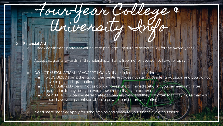## <span id="page-8-0"></span>Four-Year College & University In

#### ✘ Financial Aid

Check admissions portal for your award package. (Be sure to select 22-23 for the award year.)

Accept all grants, awards, and scholarships. That is free money you do not have to repay.

#### DO NOT AUTOMATICALLY ACCEPT LOANS-that is a family discussion

- SUBSIDIZED loans: the "good" loans-interest does not start until after graduation and you do not have to pay until graduation
- UNSUBSIDIZED loans: Not as good-interest starts immediately, but you can wait until after graduation to pay–but you would owe more than you borrowed
- PARENT PLUS loans-interest rate can be very high, and they will often loan way more than you need; have your parent see about a private loan before accepting this

Need more money? Apply for scholarships and speak to your financial aid counselor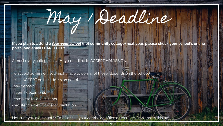# <span id="page-9-0"></span>May 1 Deadline

If you plan to attend a *four-year school* (not community college) next year, please check your school's online portal and emails CAREFULLY.

Almost every college has a May 1 deadline to ACCEPT ADMISSION.

To accept admission, you might have to do any of these (depends on the school): -click ACCEPT on the admission portal

-pay deposit

-submit documents -complete to-do list items -register for New Student Orientation

Not sure you did it right?? Email or call your admission office or recruiter. Don't mess this up!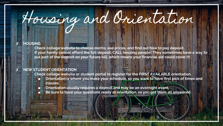## <span id="page-10-0"></span>Housing and Orientation

#### **HOUSING**

Check college website to choose dorms, see prices, and find out how to pay deposit. If your family cannot afford the full deposit, CALL housing people! They sometimes have a way to put part of the deposit on your future bill, which means your financial aid could cover it!

#### ✘ NEW STUDENT ORIENTATION

- Check college website or student portal to register for the FIRST AVAILABLE orientation.
	- Orientation is where you make your schedule, so you want to have first pick of times and classes.
	- Orientation usually requires a deposit and may be an overnight event.
	- Be sure to have your questions ready at orientation, so you get them all answered.

 $\frac{1}{2}$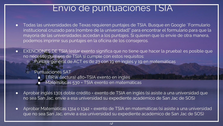### Envío de puntuaciones TSIA

- <span id="page-11-0"></span>● Todas las universidades de Texas requieren puntajes de TSIA. Busque en Google "Formulario" institucional cruzado para [nombre de la universidad]" para encontrar el formulario para que la mayoría de las universidades accedan a los puntajes. Si quieren que lo envíe de otra manera, podemos imprimir sus puntajes en la oficina de los consejeros.
- EXENCIONES DE TSIA (estar exento significa que no tiene que hacer la prueba): es posible que no necesite puntajes de TSIA si cumple con estos requisitos:
	- Puntaje general de ACT es de 23 con 19 en inglés y 19 en matemáticas

#### Puntuaciones SAT

- **EBRW (lectura) 480=TSIA exento en inglés**
- Matemáticas 530 = TSIA exento en matemáticas
- Aprobar inglés 1301 doble crédito = exento de TSIA en inglés (si asiste a una universidad que no sea San Jac, envíe a esa universidad su expediente académico de San Jac de SOS)
- Aprobar Matemáticas 1314 o 1342 = exento de TSIA en matemáticas (si asiste a una universidad que no sea San Jac, envíe a esa universidad su expediente académico de San Jac de SOS)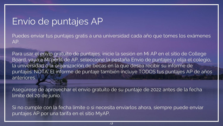### Envío de puntajes AP

Puedes enviar tus puntajes gratis a una universidad cada año que tomes los exámenes AP.

Para usar el envío gratuito de puntajes, inicie la sesión en Mi AP en el sitio de College Board, vaya a Mi perfil de AP, seleccione la pestaña Envío de puntajes y elija el colegio, la universidad o la organización de becas en la que desea recibir su informe de puntajes. NOTA: El informe de puntaje también incluye TODOS tus puntajes AP de años anteriores.

Asegúrese de aprovechar el envío gratuito de su puntaje de 2022 antes de la fecha límite del 20 de junio.

Si no cumple con la fecha límite o si necesita enviarlos ahora, siempre puede enviar puntajes AP por una tarifa en el sitio MyAP.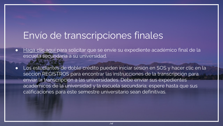### Envío de transcripciones finales

- [Haga clic aquí p](https://docs.google.com/forms/d/e/1FAIpQLScNUkwXi4zfZ1CWUYIL4fspCKfz1qA8qXm9qs9lBgKX5oePkw/viewform)ara solicitar que se envíe su expediente académico final de la escuela secundaria a su universidad.
- Los estudiantes de doble crédito pueden iniciar sesión en SOS y hacer clic en la sección REGISTROS para encontrar las instrucciones de la transcripción para enviar la transcripción a las universidades. Debe enviar sus expedientes académicos de la universidad y la escuela secundaria; espere hasta que sus calificaciones para este semestre universitario sean definitivas.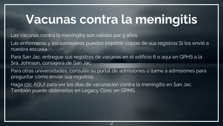## Vacunas contra la meningitis

Las vacunas contra la meningitis son válidas por 5 años.

Las enfermeras y los consejeros pueden imprimir copias de sus registros SI los envió a nuestra escuela

Para San Jac, entregue sus registros de vacunas en el edificio 6 o aquí en GPHS a la Sra. Johnson, consejera de San Jac.

Para otras universidades, consulte su portal de admisiones o llame a admisiones para preguntar cómo enviar sus registros.

Haga [clic AQUÍ](https://www.sanjac.edu/meningitis#shot) para ver los días de vacunación contra la meningitis en San Jac. También puede obtenerlos en Legacy Clinic en GPMS.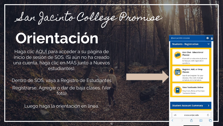San Jacinto College Promise

16

## **Orientación**

Haga clic [AQUÍ](https://www.sanjac.edu/soslogin) para acceder a su página de inicio de sesión de SOS. (Si aún no ha creado una cuenta, haga clic en MÁS junto a Nuevos estudiantes).

Dentro de SOS, vaya a Registro de Estudiantes Registrarse, Agregar o dar de baja clases. (Ver foto)

Luego haga la orientación en línea.

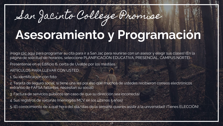## San Jacinto College Promise **Asesoramiento y Programación**

¡Haga [clic aquí](https://www.whos-next.com/sanjac/appointments/) para programar su cita para ir a San Jac para reunirse con un asesor y elegir sus clases! (En la página de solicitud de horarios, seleccione PLANIFICACIÓN EDUCATIVA, PRESENCIAL, CAMPUS NORTE).

Preséntense en el Edificio 6, cerca de Uvalde por los mástiles..

ARTÍCULOS PARA LLEVAR CON USTED:

1. Su identificación con foto

2. Tarjeta de seguro social, si tiene una (es por eso que muchos de ustedes recibieron correos electrónicos extraños de FAFSA faltantes, necesitan su social)

- 3. Factura de servicios públicos (en caso de que su dirección sea incorrecta)
- 4. Sus registros de vacunas (meningitis MCV en los últimos 5 años)
- 5. ¡El conocimiento de a qué hora del día/días de la semana quieres asistir a la universidad! ¡Tienes ELECCIÓN!

17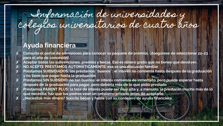## Información de universidades y colegios universitarios de cuatro años

### Ayuda financiera

- Consulte el portal de admisiones para conocer su paquete de premios. (Asegúrese de seleccionar 22-23 para el año de concesión).
- Aceptar todas las subvenciones, premios y becas. Eso es dinero gratis que no tienes que devolver. ✘ NO ACEPTE PRÉSTAMOS AUTOMÁTICAMENTE: esa es una discusión familiar
- ✘ Préstamos SUBSIDIADOS: los préstamos ¨buenos¨: el interés no comienza hasta después de la graduación y no tiene que pagar hasta la graduación
- Préstamos SIN SUBSIDIO: no tan buenos: el interés comienza de inmediato, pero puede esperar hasta después de la graduación para pagar, pero debería más de lo que pidió prestado

18

Préstamos PARENT PLUS: la tasa de interés puede ser muy alta y, a menudo, le prestarán mucho más de lo que necesita; haz que tus padres vean un préstamo privado antes de aceptarlo ✘ ¿Necesitas más dinero? Solicite becas y hable con su consejero de ayuda financiera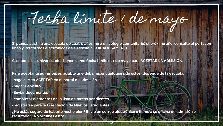# Fecha límite 1 de mayo

Si planea asistir a una escuela de cuatro años (no a un colegio comunitario) el próximo año, consulte el portal en línea y los correos electrónicos de su escuela CUIDADOSAMENTE.

Casi todas las universidades tienen como fecha límite el 1 de mayo para ACEPTAR LA ADMISIÓN.

Para aceptar la admisión, es posible que deba hacer cualquiera de estos (depende de la escuela): -haga clic en ACEPTAR en el portal de admisión

-pagar deposito

-Enviar documentos

-completar elementos de la lista de tareas pendientes

-registrarse para la Orientación de Nuevos Estudiantes

¿No estás seguro de haberlo hecho bien? Envíe un correo electrónico o llame a su oficina de admisión o reclutador. ¡No arruines esto!